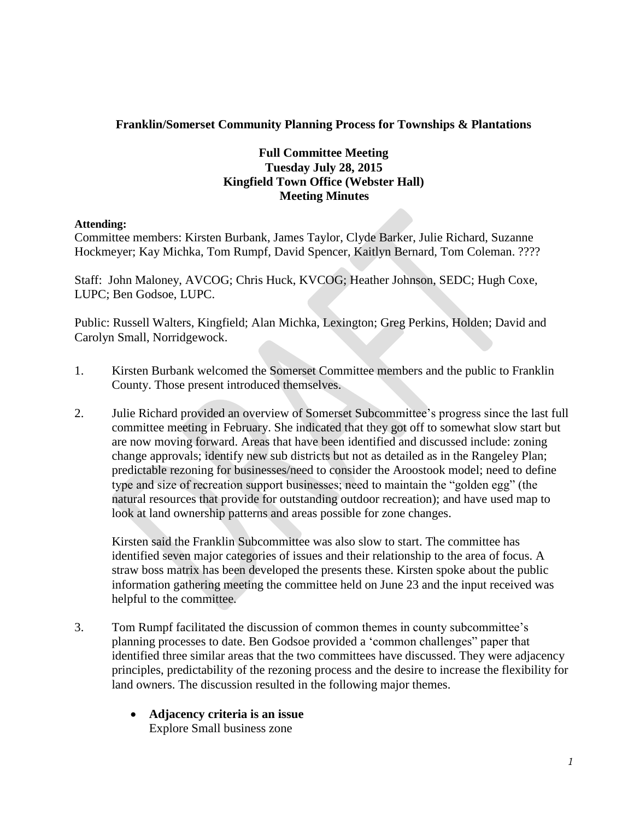## **Franklin/Somerset Community Planning Process for Townships & Plantations**

## **Full Committee Meeting Tuesday July 28, 2015 Kingfield Town Office (Webster Hall) Meeting Minutes**

## **Attending:**

Committee members: Kirsten Burbank, James Taylor, Clyde Barker, Julie Richard, Suzanne Hockmeyer; Kay Michka, Tom Rumpf, David Spencer, Kaitlyn Bernard, Tom Coleman. ????

Staff: John Maloney, AVCOG; Chris Huck, KVCOG; Heather Johnson, SEDC; Hugh Coxe, LUPC; Ben Godsoe, LUPC.

Public: Russell Walters, Kingfield; Alan Michka, Lexington; Greg Perkins, Holden; David and Carolyn Small, Norridgewock.

- 1. Kirsten Burbank welcomed the Somerset Committee members and the public to Franklin County. Those present introduced themselves.
- 2. Julie Richard provided an overview of Somerset Subcommittee's progress since the last full committee meeting in February. She indicated that they got off to somewhat slow start but are now moving forward. Areas that have been identified and discussed include: zoning change approvals; identify new sub districts but not as detailed as in the Rangeley Plan; predictable rezoning for businesses/need to consider the Aroostook model; need to define type and size of recreation support businesses; need to maintain the "golden egg" (the natural resources that provide for outstanding outdoor recreation); and have used map to look at land ownership patterns and areas possible for zone changes.

Kirsten said the Franklin Subcommittee was also slow to start. The committee has identified seven major categories of issues and their relationship to the area of focus. A straw boss matrix has been developed the presents these. Kirsten spoke about the public information gathering meeting the committee held on June 23 and the input received was helpful to the committee.

- 3. Tom Rumpf facilitated the discussion of common themes in county subcommittee's planning processes to date. Ben Godsoe provided a 'common challenges" paper that identified three similar areas that the two committees have discussed. They were adjacency principles, predictability of the rezoning process and the desire to increase the flexibility for land owners. The discussion resulted in the following major themes.
	- **Adjacency criteria is an issue** Explore Small business zone